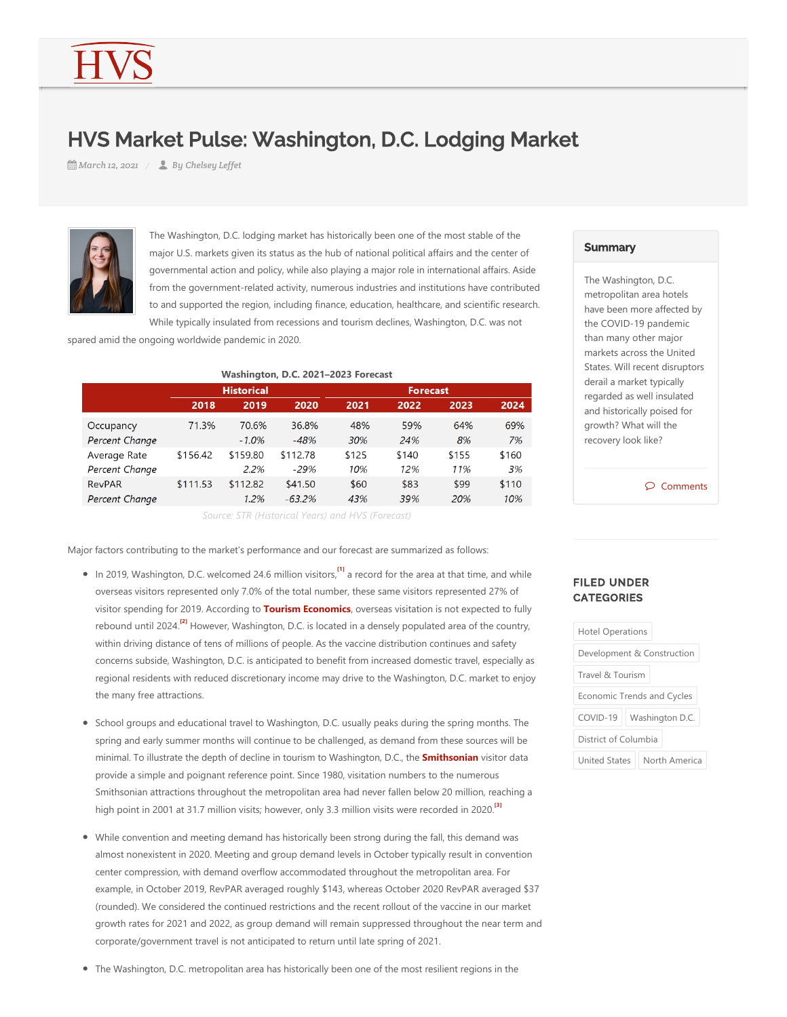# HVS Market Pulse: Washington, D.C. Lodging Market

*March 12, 2021 By Chelsey Leffet*



The Washington, D.C. lodging market has historically been one of the most stable of the major U.S. markets given its status as the hub of national political affairs and the center of governmental action and policy, while also playing a major role in international affairs. Aside from the government-related activity, numerous industries and institutions have contributed to and supported the region, including finance, education, healthcare, and scientific research.

While typically insulated from recessions and tourism declines, Washington, D.C. was not

spared amid the ongoing worldwide pandemic in 2020.

| Washington, D.C. 2021-2023 Forecast |                   |          |          |                 |       |       |       |
|-------------------------------------|-------------------|----------|----------|-----------------|-------|-------|-------|
|                                     | <b>Historical</b> |          |          | <b>Forecast</b> |       |       |       |
|                                     | 2018              | 2019     | 2020     | 2021            | 2022  | 2023  | 2024  |
| Occupancy                           | 71.3%             | 70.6%    | 36.8%    | 48%             | 59%   | 64%   | 69%   |
| Percent Change                      |                   | $-1.0\%$ | $-48%$   | 30%             | 24%   | 8%    | 7%    |
| Average Rate                        | \$156.42          | \$159.80 | \$112.78 | \$125           | \$140 | \$155 | \$160 |
| Percent Change                      |                   | 2.2%     | $-29%$   | 10%             | 12%   | 11%   | 3%    |
| <b>RevPAR</b>                       | \$111.53          | \$112.82 | \$41.50  | \$60            | \$83  | \$99  | \$110 |
| Percent Change                      |                   | 1.2%     | $-63.2%$ | 43%             | 39%   | 20%   | 10%   |

<span id="page-0-0"></span>*Source: STR (Historical Years) and HVS (Forecast)*

Major factors contributing to the market's performance and our forecast are summarized as follows:

- <span id="page-0-1"></span>In 2019, Washington, D.C. welcomed 24.6 million visitors,<sup>[\[1\]](#page-2-0)</sup> a record for the area at that time, and while overseas visitors represented only 7.0% of the total number, these same visitors represented 27% of visitor spending for 2019. According to **Tourism Economics**, overseas visitation is not expected to fully rebound until 2024.<sup>[\[2\]](#page-2-1)</sup> However, Washington, D.C. is located in a densely populated area of the country, within driving distance of tens of millions of people. As the vaccine distribution continues and safety concerns subside, Washington, D.C. is anticipated to benefit from increased domestic travel, especially as regional residents with reduced discretionary income may drive to the Washington, D.C. market to enjoy the many free attractions.
- School groups and educational travel to Washington, D.C. usually peaks during the spring months. The spring and early summer months will continue to be challenged, as demand from these sources will be minimal. To illustrate the depth of decline in tourism to Washington, D.C., the **Smithsonian** visitor data provide a simple and poignant reference point. Since 1980, visitation numbers to the numerous Smithsonian attractions throughout the metropolitan area had never fallen below 20 million, reaching a high point in 2001 at 31.7 million visits; however, only 3.3 million visits were recorded in 2020. **[\[3\]](#page-2-2)**
- While convention and meeting demand has historically been strong during the fall, this demand was almost nonexistent in 2020. Meeting and group demand levels in October typically result in convention center compression, with demand overflow accommodated throughout the metropolitan area. For example, in October 2019, RevPAR averaged roughly \$143, whereas October 2020 RevPAR averaged \$37 (rounded). We considered the continued restrictions and the recent rollout of the vaccine in our market growth rates for 2021 and 2022, as group demand will remain suppressed throughout the near term and corporate/government travel is not anticipated to return until late spring of 2021.

#### The Washington, D.C. metropolitan area has historically been one of the most resilient regions in the

#### **Summary**

The Washington, D.C. metropolitan area hotels have been more affected by the COVID‐19 pandemic than many other major markets across the United States. Will recent disruptors derail a market typically regarded as well insulated and historically poised for growth? What will the recovery look like?

 $\circledcirc$  Comments

### FILED UNDER **CATEGORIES**

<span id="page-0-2"></span>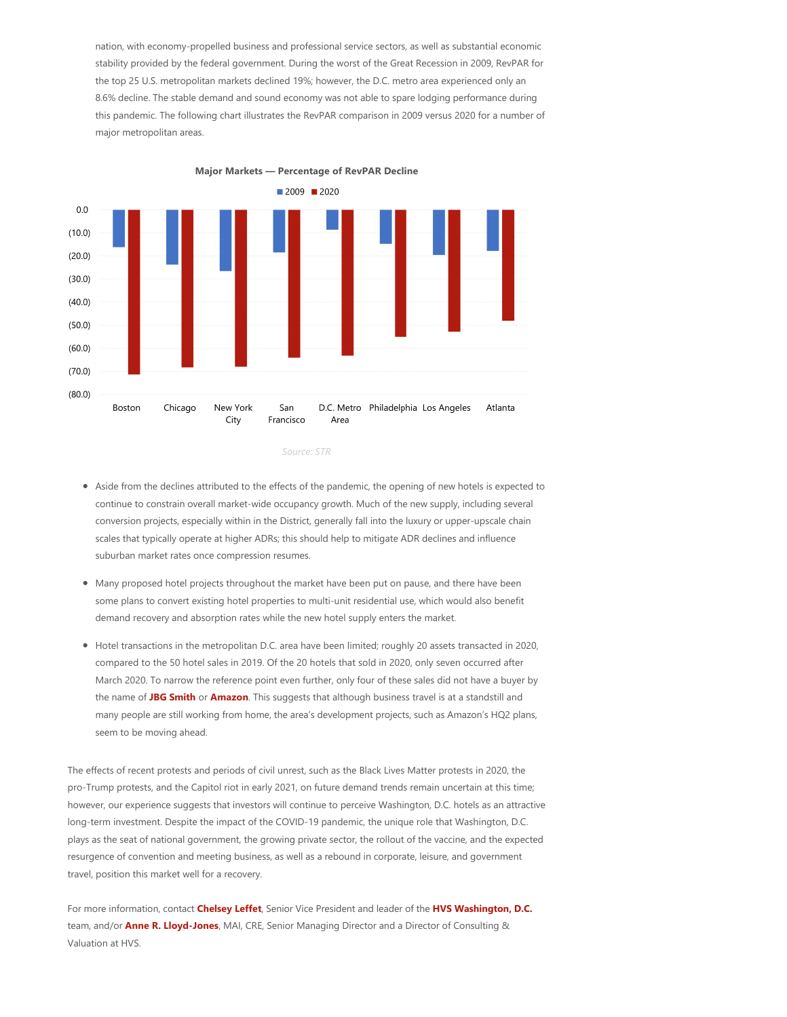nation, with economy‐propelled business and professional service sectors, as well as substantial economic stability provided by the federal government. During the worst of the Great Recession in 2009, RevPAR for the top 25 U.S. metropolitan markets declined 19%; however, the D.C. metro area experienced only an 8.6% decline. The stable demand and sound economy was not able to spare lodging performance during this pandemic. The following chart illustrates the RevPAR comparison in 2009 versus 2020 for a number of major metropolitan areas.



*Source: STR*

- Aside from the declines attributed to the effects of the pandemic, the opening of new hotels is expected to continue to constrain overall market-wide occupancy growth. Much of the new supply, including several conversion projects, especially within in the District, generally fall into the luxury or upper‐upscale chain scales that typically operate at higher ADRs; this should help to mitigate ADR declines and influence suburban market rates once compression resumes.
- Many proposed hotel projects throughout the market have been put on pause, and there have been some plans to convert existing hotel properties to multi-unit residential use, which would also benefit demand recovery and absorption rates while the new hotel supply enters the market.
- Hotel transactions in the metropolitan D.C. area have been limited; roughly 20 assets transacted in 2020, compared to the 50 hotel sales in 2019. Of the 20 hotels that sold in 2020, only seven occurred after March 2020. To narrow the reference point even further, only four of these sales did not have a buyer by the name of **JBG Smith** or **Amazon**. This suggests that although business travel is at a standstill and many people are still working from home, the area's development projects, such as Amazon's HQ2 plans, seem to be moving ahead.

The effects of recent protests and periods of civil unrest, such as the Black Lives Matter protests in 2020, the pro‐Trump protests, and the Capitol riot in early 2021, on future demand trends remain uncertain at this time; however, our experience suggests that investors will continue to perceive Washington, D.C. hotels as an attractive long‐term investment. Despite the impact of the COVID‐19 pandemic, the unique role that Washington, D.C. plays as the seat of national government, the growing private sector, the rollout of the vaccine, and the expected resurgence of convention and meeting business, as well as a rebound in corporate, leisure, and government travel, position this market well for a recovery.

For more information, contact **Chelsey Leffet**, Senior Vice President and leader of the **HVS Washington, D.C.** team, and/or **Anne R. Lloyd‐Jones**, MAI, CRE, Senior Managing Director and a Director of Consulting & Valuation at HVS.